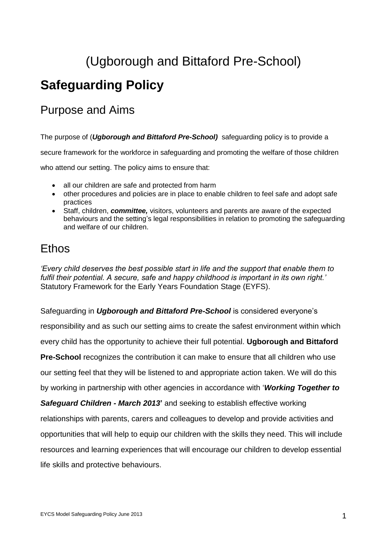## (Ugborough and Bittaford Pre-School)

## **Safeguarding Policy**

### Purpose and Aims

The purpose of (*Ugborough and Bittaford Pre-School)* safeguarding policy is to provide a

secure framework for the workforce in safeguarding and promoting the welfare of those children

who attend our setting. The policy aims to ensure that:

- all our children are safe and protected from harm
- other procedures and policies are in place to enable children to feel safe and adopt safe practices
- Staff, children, *committee,* visitors, volunteers and parents are aware of the expected behaviours and the setting's legal responsibilities in relation to promoting the safeguarding and welfare of our children.

### Ethos

*'Every child deserves the best possible start in life and the support that enable them to fulfil their potential. A secure, safe and happy childhood is important in its own right.'*  Statutory Framework for the Early Years Foundation Stage (EYFS).

Safeguarding in *Ugborough and Bittaford Pre-School* is considered everyone's

responsibility and as such our setting aims to create the safest environment within which

every child has the opportunity to achieve their full potential. **Ugborough and Bittaford** 

**Pre-School** recognizes the contribution it can make to ensure that all children who use

our setting feel that they will be listened to and appropriate action taken. We will do this

by working in partnership with other agencies in accordance with '*Working Together to* 

*Safeguard Children - March 2013***'** and seeking to establish effective working

relationships with parents, carers and colleagues to develop and provide activities and

opportunities that will help to equip our children with the skills they need. This will include

resources and learning experiences that will encourage our children to develop essential life skills and protective behaviours.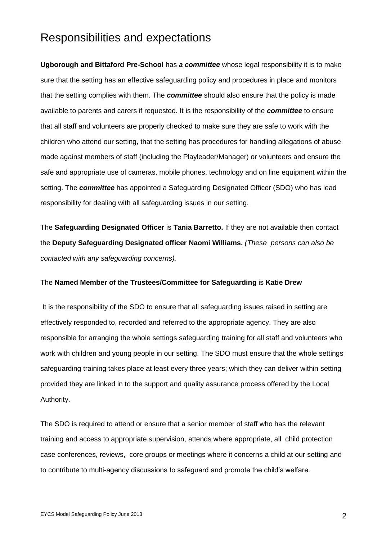### Responsibilities and expectations

**Ugborough and Bittaford Pre-School** has *a committee* whose legal responsibility it is to make sure that the setting has an effective safeguarding policy and procedures in place and monitors that the setting complies with them. The *committee* should also ensure that the policy is made available to parents and carers if requested. It is the responsibility of the *committee* to ensure that all staff and volunteers are properly checked to make sure they are safe to work with the children who attend our setting, that the setting has procedures for handling allegations of abuse made against members of staff (including the Playleader/Manager) or volunteers and ensure the safe and appropriate use of cameras, mobile phones, technology and on line equipment within the setting. The *committee* has appointed a Safeguarding Designated Officer (SDO) who has lead responsibility for dealing with all safeguarding issues in our setting.

The **Safeguarding Designated Officer** is **Tania Barretto.** If they are not available then contact the **Deputy Safeguarding Designated officer Naomi Williams.** *(These persons can also be contacted with any safeguarding concerns).* 

#### The **Named Member of the Trustees/Committee for Safeguarding** is **Katie Drew**

It is the responsibility of the SDO to ensure that all safeguarding issues raised in setting are effectively responded to, recorded and referred to the appropriate agency. They are also responsible for arranging the whole settings safeguarding training for all staff and volunteers who work with children and young people in our setting. The SDO must ensure that the whole settings safeguarding training takes place at least every three years; which they can deliver within setting provided they are linked in to the support and quality assurance process offered by the Local Authority.

The SDO is required to attend or ensure that a senior member of staff who has the relevant training and access to appropriate supervision, attends where appropriate, all child protection case conferences, reviews, core groups or meetings where it concerns a child at our setting and to contribute to multi-agency discussions to safeguard and promote the child's welfare.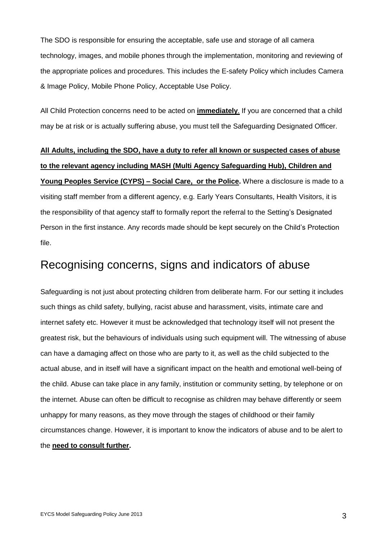The SDO is responsible for ensuring the acceptable, safe use and storage of all camera technology, images, and mobile phones through the implementation, monitoring and reviewing of the appropriate polices and procedures. This includes the E-safety Policy which includes Camera & Image Policy, Mobile Phone Policy, Acceptable Use Policy.

All Child Protection concerns need to be acted on **immediately**. If you are concerned that a child may be at risk or is actually suffering abuse, you must tell the Safeguarding Designated Officer.

## **All Adults, including the SDO, have a duty to refer all known or suspected cases of abuse to the relevant agency including MASH (Multi Agency Safeguarding Hub), Children and Young Peoples Service (CYPS) – Social Care, or the Police.** Where a disclosure is made to a visiting staff member from a different agency, e.g. Early Years Consultants, Health Visitors, it is the responsibility of that agency staff to formally report the referral to the Setting's Designated Person in the first instance. Any records made should be kept securely on the Child's Protection file.

### Recognising concerns, signs and indicators of abuse

Safeguarding is not just about protecting children from deliberate harm. For our setting it includes such things as child safety, bullying, racist abuse and harassment, visits, intimate care and internet safety etc. However it must be acknowledged that technology itself will not present the greatest risk, but the behaviours of individuals using such equipment will. The witnessing of abuse can have a damaging affect on those who are party to it, as well as the child subjected to the actual abuse, and in itself will have a significant impact on the health and emotional well-being of the child. Abuse can take place in any family, institution or community setting, by telephone or on the internet. Abuse can often be difficult to recognise as children may behave differently or seem unhappy for many reasons, as they move through the stages of childhood or their family circumstances change. However, it is important to know the indicators of abuse and to be alert to the **need to consult further.**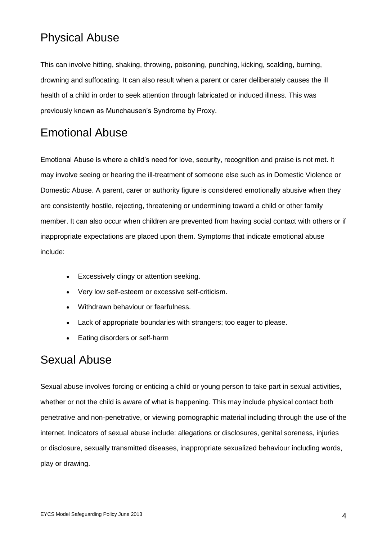### Physical Abuse

This can involve hitting, shaking, throwing, poisoning, punching, kicking, scalding, burning, drowning and suffocating. It can also result when a parent or carer deliberately causes the ill health of a child in order to seek attention through fabricated or induced illness. This was previously known as Munchausen's Syndrome by Proxy.

### Emotional Abuse

Emotional Abuse is where a child's need for love, security, recognition and praise is not met. It may involve seeing or hearing the ill-treatment of someone else such as in Domestic Violence or Domestic Abuse. A parent, carer or authority figure is considered emotionally abusive when they are consistently hostile, rejecting, threatening or undermining toward a child or other family member. It can also occur when children are prevented from having social contact with others or if inappropriate expectations are placed upon them. Symptoms that indicate emotional abuse include:

- Excessively clingy or attention seeking.
- Very low self-esteem or excessive self-criticism.
- Withdrawn behaviour or fearfulness.
- Lack of appropriate boundaries with strangers; too eager to please.
- Eating disorders or self-harm

### Sexual Abuse

Sexual abuse involves forcing or enticing a child or young person to take part in sexual activities, whether or not the child is aware of what is happening. This may include physical contact both penetrative and non-penetrative, or viewing pornographic material including through the use of the internet. Indicators of sexual abuse include: allegations or disclosures, genital soreness, injuries or disclosure, sexually transmitted diseases, inappropriate sexualized behaviour including words, play or drawing.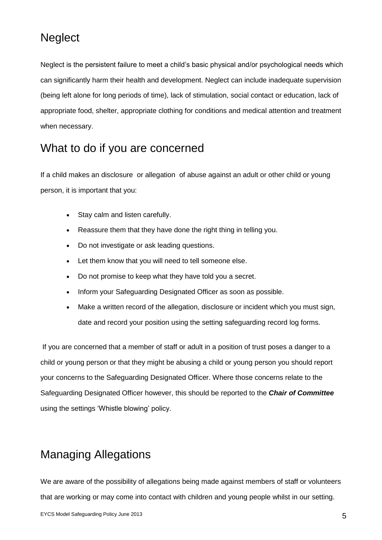### **Neglect**

Neglect is the persistent failure to meet a child's basic physical and/or psychological needs which can significantly harm their health and development. Neglect can include inadequate supervision (being left alone for long periods of time), lack of stimulation, social contact or education, lack of appropriate food, shelter, appropriate clothing for conditions and medical attention and treatment when necessary.

### What to do if you are concerned

If a child makes an disclosure or allegation of abuse against an adult or other child or young person, it is important that you:

- Stay calm and listen carefully.
- Reassure them that they have done the right thing in telling you.
- Do not investigate or ask leading questions.
- Let them know that you will need to tell someone else.
- Do not promise to keep what they have told you a secret.
- Inform your Safeguarding Designated Officer as soon as possible.
- Make a written record of the allegation, disclosure or incident which you must sign, date and record your position using the setting safeguarding record log forms.

If you are concerned that a member of staff or adult in a position of trust poses a danger to a child or young person or that they might be abusing a child or young person you should report your concerns to the Safeguarding Designated Officer. Where those concerns relate to the Safeguarding Designated Officer however, this should be reported to the *Chair of Committee* using the settings 'Whistle blowing' policy.

## Managing Allegations

We are aware of the possibility of allegations being made against members of staff or volunteers that are working or may come into contact with children and young people whilst in our setting.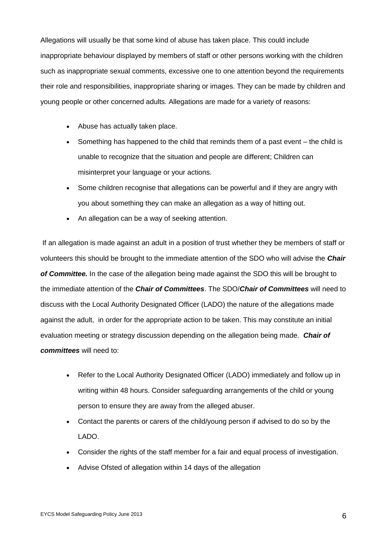Allegations will usually be that some kind of abuse has taken place. This could include inappropriate behaviour displayed by members of staff or other persons working with the children such as inappropriate sexual comments, excessive one to one attention beyond the requirements their role and responsibilities, inappropriate sharing or images. They can be made by children and young people or other concerned adults. Allegations are made for a variety of reasons:

- Abuse has actually taken place.
- Something has happened to the child that reminds them of a past event the child is unable to recognize that the situation and people are different; Children can misinterpret your language or your actions.
- Some children recognise that allegations can be powerful and if they are angry with you about something they can make an allegation as a way of hitting out.
- An allegation can be a way of seeking attention.

If an allegation is made against an adult in a position of trust whether they be members of staff or volunteers this should be brought to the immediate attention of the SDO who will advise the *Chair of Committee.* In the case of the allegation being made against the SDO this will be brought to the immediate attention of the *Chair of Committees*. The SDO/*Chair of Committees* will need to discuss with the Local Authority Designated Officer (LADO) the nature of the allegations made against the adult, in order for the appropriate action to be taken. This may constitute an initial evaluation meeting or strategy discussion depending on the allegation being made. *Chair of committees* will need to:

- Refer to the Local Authority Designated Officer (LADO) immediately and follow up in writing within 48 hours. Consider safeguarding arrangements of the child or young person to ensure they are away from the alleged abuser.
- Contact the parents or carers of the child/young person if advised to do so by the LADO.
- Consider the rights of the staff member for a fair and equal process of investigation.
- Advise Ofsted of allegation within 14 days of the allegation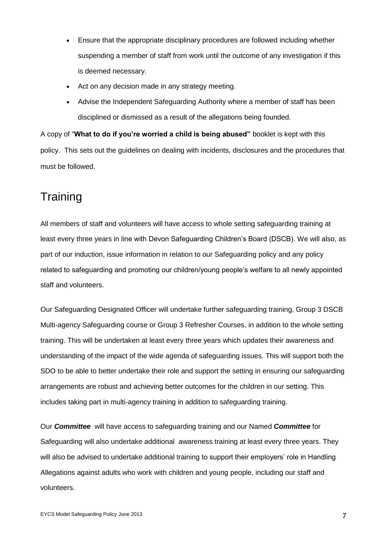- Ensure that the appropriate disciplinary procedures are followed including whether suspending a member of staff from work until the outcome of any investigation if this is deemed necessary.
- Act on any decision made in any strategy meeting.
- Advise the Independent Safeguarding Authority where a member of staff has been disciplined or dismissed as a result of the allegations being founded.

A copy of "**What to do if you're worried a child is being abused"** booklet is kept with this policy. This sets out the guidelines on dealing with incidents, disclosures and the procedures that must be followed.

### **Training**

All members of staff and volunteers will have access to whole setting safeguarding training at least every three years in line with Devon Safeguarding Children's Board (DSCB). We will also, as part of our induction, issue information in relation to our Safeguarding policy and any policy related to safeguarding and promoting our children/young people's welfare to all newly appointed staff and volunteers.

Our Safeguarding Designated Officer will undertake further safeguarding training, Group 3 DSCB Multi-agency Safeguarding course or Group 3 Refresher Courses, in addition to the whole setting training. This will be undertaken at least every three years which updates their awareness and understanding of the impact of the wide agenda of safeguarding issues. This will support both the SDO to be able to better undertake their role and support the setting in ensuring our safeguarding arrangements are robust and achieving better outcomes for the children in our setting. This includes taking part in multi-agency training in addition to safeguarding training.

Our *Committee* will have access to safeguarding training and our Named *Committee* for Safeguarding will also undertake additional awareness training at least every three years. They will also be advised to undertake additional training to support their employers' role in Handling Allegations against adults who work with children and young people, including our staff and volunteers.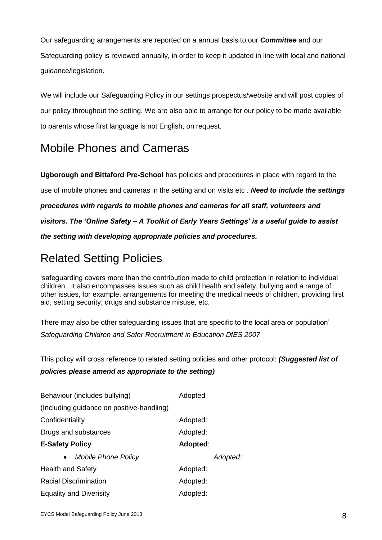Our safeguarding arrangements are reported on a annual basis to our *Committee* and our Safeguarding policy is reviewed annually, in order to keep it updated in line with local and national guidance/legislation.

We will include our Safeguarding Policy in our settings prospectus/website and will post copies of our policy throughout the setting. We are also able to arrange for our policy to be made available to parents whose first language is not English, on request.

## Mobile Phones and Cameras

**Ugborough and Bittaford Pre-School** has policies and procedures in place with regard to the use of mobile phones and cameras in the setting and on visits etc . *Need to include the settings procedures with regards to mobile phones and cameras for all staff, volunteers and visitors. The 'Online Safety – A Toolkit of Early Years Settings' is a useful guide to assist the setting with developing appropriate policies and procedures.*

## Related Setting Policies

'safeguarding covers more than the contribution made to child protection in relation to individual children. It also encompasses issues such as child health and safety, bullying and a range of other issues, for example, arrangements for meeting the medical needs of children, providing first aid, setting security, drugs and substance misuse, etc.

There may also be other safeguarding issues that are specific to the local area or population' *Safeguarding Children and Safer Recruitment in Education DfES 2007*

This policy will cross reference to related setting policies and other protocol: *(Suggested list of policies please amend as appropriate to the setting)*

| Behaviour (includes bullying)             | Adopted  |          |
|-------------------------------------------|----------|----------|
| (Including guidance on positive-handling) |          |          |
| Confidentiality                           | Adopted: |          |
| Drugs and substances                      | Adopted: |          |
| <b>E-Safety Policy</b>                    | Adopted: |          |
| <b>Mobile Phone Policy</b><br>$\bullet$   |          | Adopted: |
| <b>Health and Safety</b>                  | Adopted: |          |
| <b>Racial Discrimination</b>              | Adopted: |          |
| <b>Equality and Diverisity</b>            | Adopted: |          |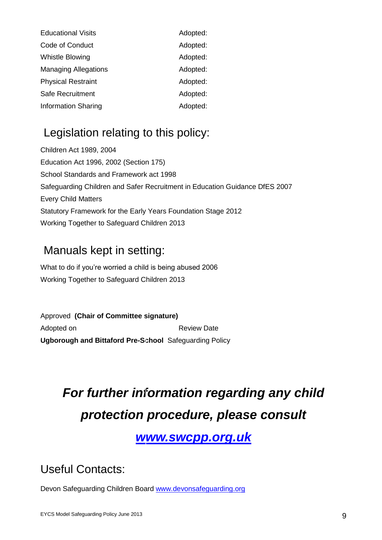| <b>Educational Visits</b>   | Adopted: |
|-----------------------------|----------|
| Code of Conduct             | Adopted: |
| <b>Whistle Blowing</b>      | Adopted: |
| <b>Managing Allegations</b> | Adopted: |
| <b>Physical Restraint</b>   | Adopted: |
| Safe Recruitment            | Adopted: |
| <b>Information Sharing</b>  | Adopted: |

## Legislation relating to this policy:

Children Act 1989, 2004 Education Act 1996, 2002 (Section 175) School Standards and Framework act 1998 Safeguarding Children and Safer Recruitment in Education Guidance DfES 2007 Every Child Matters Statutory Framework for the Early Years Foundation Stage 2012 Working Together to Safeguard Children 2013

## Manuals kept in setting:

What to do if you're worried a child is being abused 2006 Working Together to Safeguard Children 2013

Approved **(Chair of Committee signature)**  Adopted on **Adopted on Review Date Ugborough and Bittaford Pre-School** Safeguarding Policy

# *For further information regarding any child protection procedure, please consult*

## *[www.swcpp.org.uk](file://DS2CHx005.ds2.devon.gov.uk/User$/Margaret.Dean/Documents/www.swcpp.org.uk)*

Useful Contacts:

Devon Safeguarding Children Board [www.devonsafeguarding.org](http://www.devonsafeguarding.org/)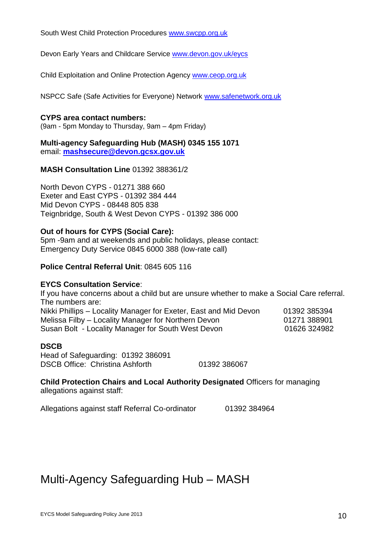South West Child Protection Procedures [www.swcpp.org.uk](http://www.swcpp.org.uk/)

Devon Early Years and Childcare Service [www.devon.gov.uk/eycs](http://www.devon.gov.uk/eycs)

Child Exploitation and Online Protection Agency [www.ceop.org.uk](http://www.ceop.org.uk/)

NSPCC Safe (Safe Activities for Everyone) Network [www.safenetwork.org.uk](http://www.safenetwork.org.uk/)

#### **CYPS area contact numbers:**

(9am - 5pm Monday to Thursday, 9am – 4pm Friday)

**Multi-agency Safeguarding Hub (MASH) 0345 155 1071** email: **[mashsecure@devon.gcsx.gov.uk](mailto:mashsecure@devon.gcsx.gov.uk)**

#### **MASH Consultation Line** 01392 388361/2

North Devon CYPS - 01271 388 660 Exeter and East CYPS - 01392 384 444 Mid Devon CYPS - 08448 805 838 Teignbridge, South & West Devon CYPS - 01392 386 000

#### **Out of hours for CYPS (Social Care):**

5pm -9am and at weekends and public holidays, please contact: Emergency Duty Service 0845 6000 388 (low-rate call)

#### **Police Central Referral Unit**: 0845 605 116

#### **EYCS Consultation Service**:

If you have concerns about a child but are unsure whether to make a Social Care referral. The numbers are:

Nikki Phillips – Locality Manager for Exeter, East and Mid Devon 01392 385394 Melissa Filby – Locality Manager for Northern Devon **01271 388901** Susan Bolt - Locality Manager for South West Devon 01626 324982

#### **DSCB**

Head of Safeguarding: 01392 386091 DSCB Office: Christina Ashforth 01392 386067

**Child Protection Chairs and Local Authority Designated** Officers for managing allegations against staff:

Allegations against staff Referral Co-ordinator 01392 384964

## Multi-Agency Safeguarding Hub – MASH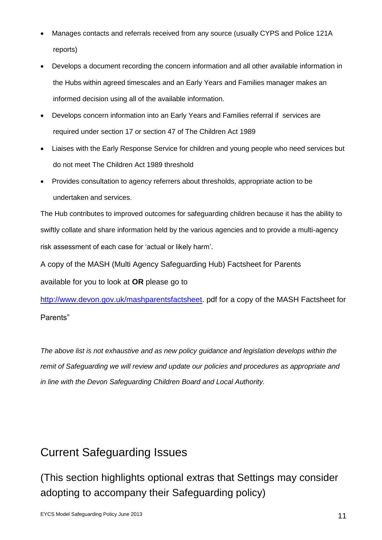- Manages contacts and referrals received from any source (usually CYPS and Police 121A reports)
- Develops a document recording the concern information and all other available information in the Hubs within agreed timescales and an Early Years and Families manager makes an informed decision using all of the available information.
- Develops concern information into an Early Years and Families referral if services are required under section 17 or section 47 of The Children Act 1989
- Liaises with the Early Response Service for children and young people who need services but do not meet The Children Act 1989 threshold
- Provides consultation to agency referrers about thresholds, appropriate action to be undertaken and services.

The Hub contributes to improved outcomes for safeguarding children because it has the ability to swiftly collate and share information held by the various agencies and to provide a multi-agency risk assessment of each case for 'actual or likely harm'.

A copy of the MASH (Multi Agency Safeguarding Hub) Factsheet for Parents available for you to look at **OR** please go to

[http://www.devon.gov.uk/mashparentsfactsheet.](http://www.devon.gov.uk/mashparentsfactsheet) pdf for a copy of the MASH Factsheet for Parents"

*The above list is not exhaustive and as new policy guidance and legislation develops within the remit of Safeguarding we will review and update our policies and procedures as appropriate and in line with the Devon Safeguarding Children Board and Local Authority.*

## Current Safeguarding Issues

(This section highlights optional extras that Settings may consider adopting to accompany their Safeguarding policy)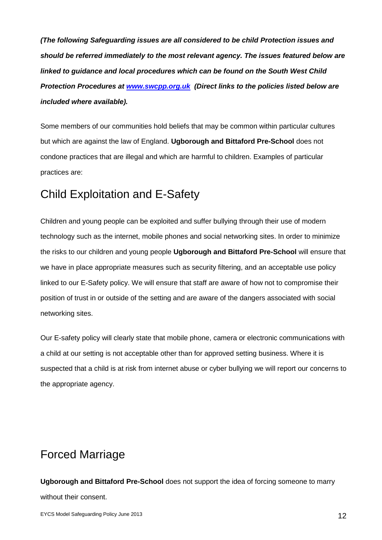*(The following Safeguarding issues are all considered to be child Protection issues and should be referred immediately to the most relevant agency. The issues featured below are linked to guidance and local procedures which can be found on the South West Child Protection Procedures at [www.swcpp.org.uk](http://www.swcpp.org.uk/) (Direct links to the policies listed below are included where available).* 

Some members of our communities hold beliefs that may be common within particular cultures but which are against the law of England. **Ugborough and Bittaford Pre-School** does not condone practices that are illegal and which are harmful to children. Examples of particular practices are:

### Child Exploitation and E-Safety

Children and young people can be exploited and suffer bullying through their use of modern technology such as the internet, mobile phones and social networking sites. In order to minimize the risks to our children and young people **Ugborough and Bittaford Pre-School** will ensure that we have in place appropriate measures such as security filtering, and an acceptable use policy linked to our E-Safety policy. We will ensure that staff are aware of how not to compromise their position of trust in or outside of the setting and are aware of the dangers associated with social networking sites.

Our E-safety policy will clearly state that mobile phone, camera or electronic communications with a child at our setting is not acceptable other than for approved setting business. Where it is suspected that a child is at risk from internet abuse or cyber bullying we will report our concerns to the appropriate agency.

## Forced Marriage

**Ugborough and Bittaford Pre-School** does not support the idea of forcing someone to marry without their consent.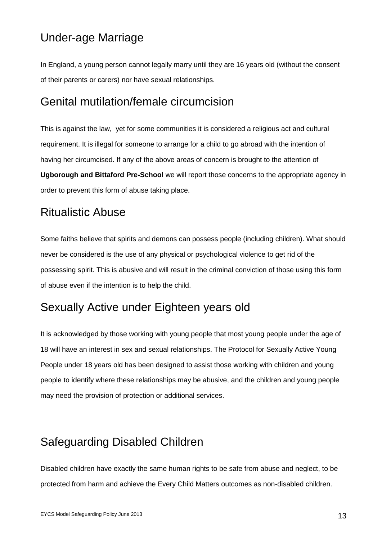### Under-age Marriage

In England, a young person cannot legally marry until they are 16 years old (without the consent of their parents or carers) nor have sexual relationships.

### Genital mutilation/female circumcision

This is against the law, yet for some communities it is considered a religious act and cultural requirement. It is illegal for someone to arrange for a child to go abroad with the intention of having her circumcised. If any of the above areas of concern is brought to the attention of **Ugborough and Bittaford Pre-School** we will report those concerns to the appropriate agency in order to prevent this form of abuse taking place.

### Ritualistic Abuse

Some faiths believe that spirits and demons can possess people (including children). What should never be considered is the use of any physical or psychological violence to get rid of the possessing spirit. This is abusive and will result in the criminal conviction of those using this form of abuse even if the intention is to help the child.

### Sexually Active under Eighteen years old

It is acknowledged by those working with young people that most young people under the age of 18 will have an interest in sex and sexual relationships. The Protocol for Sexually Active Young People under 18 years old has been designed to assist those working with children and young people to identify where these relationships may be abusive, and the children and young people may need the provision of protection or additional services.

## Safeguarding Disabled Children

Disabled children have exactly the same human rights to be safe from abuse and neglect, to be protected from harm and achieve the Every Child Matters outcomes as non-disabled children.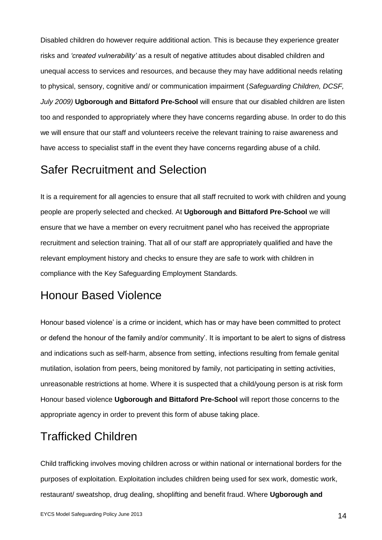Disabled children do however require additional action. This is because they experience greater risks and *'created vulnerability'* as a result of negative attitudes about disabled children and unequal access to services and resources, and because they may have additional needs relating to physical, sensory, cognitive and/ or communication impairment (*Safeguarding Children, DCSF, July 2009)* **Ugborough and Bittaford Pre-School** will ensure that our disabled children are listen too and responded to appropriately where they have concerns regarding abuse. In order to do this we will ensure that our staff and volunteers receive the relevant training to raise awareness and have access to specialist staff in the event they have concerns regarding abuse of a child.

### Safer Recruitment and Selection

It is a requirement for all agencies to ensure that all staff recruited to work with children and young people are properly selected and checked. At **Ugborough and Bittaford Pre-School** we will ensure that we have a member on every recruitment panel who has received the appropriate recruitment and selection training. That all of our staff are appropriately qualified and have the relevant employment history and checks to ensure they are safe to work with children in compliance with the Key Safeguarding Employment Standards.

## Honour Based Violence

Honour based violence' is a crime or incident, which has or may have been committed to protect or defend the honour of the family and/or community'. It is important to be alert to signs of distress and indications such as self-harm, absence from setting, infections resulting from female genital mutilation, isolation from peers, being monitored by family, not participating in setting activities, unreasonable restrictions at home. Where it is suspected that a child/young person is at risk form Honour based violence **Ugborough and Bittaford Pre-School** will report those concerns to the appropriate agency in order to prevent this form of abuse taking place.

## Trafficked Children

Child trafficking involves moving children across or within national or international borders for the purposes of exploitation. Exploitation includes children being used for sex work, domestic work, restaurant/ sweatshop, drug dealing, shoplifting and benefit fraud. Where **Ugborough and**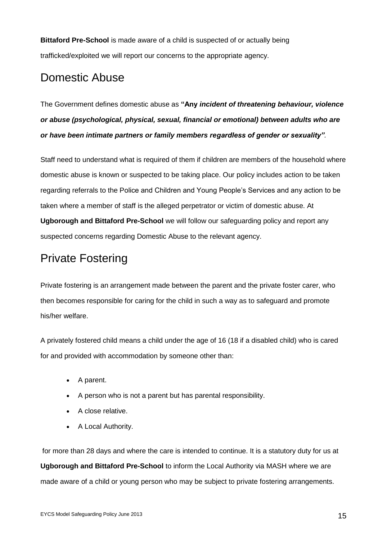**Bittaford Pre-School** is made aware of a child is suspected of or actually being trafficked/exploited we will report our concerns to the appropriate agency.

## Domestic Abuse

The Government defines domestic abuse as **"Any** *incident of threatening behaviour, violence or abuse (psychological, physical, sexual, financial or emotional) between adults who are or have been intimate partners or family members regardless of gender or sexuality".* 

Staff need to understand what is required of them if children are members of the household where domestic abuse is known or suspected to be taking place. Our policy includes action to be taken regarding referrals to the Police and Children and Young People's Services and any action to be taken where a member of staff is the alleged perpetrator or victim of domestic abuse. At **Ugborough and Bittaford Pre-School** we will follow our safeguarding policy and report any suspected concerns regarding Domestic Abuse to the relevant agency.

## Private Fostering

Private fostering is an arrangement made between the parent and the private foster carer, who then becomes responsible for caring for the child in such a way as to safeguard and promote his/her welfare.

A privately fostered child means a child under the age of 16 (18 if a disabled child) who is cared for and provided with accommodation by someone other than:

- A parent.
- A person who is not a parent but has parental responsibility.
- A close relative.
- A Local Authority.

for more than 28 days and where the care is intended to continue. It is a statutory duty for us at **Ugborough and Bittaford Pre-School** to inform the Local Authority via MASH where we are made aware of a child or young person who may be subject to private fostering arrangements.